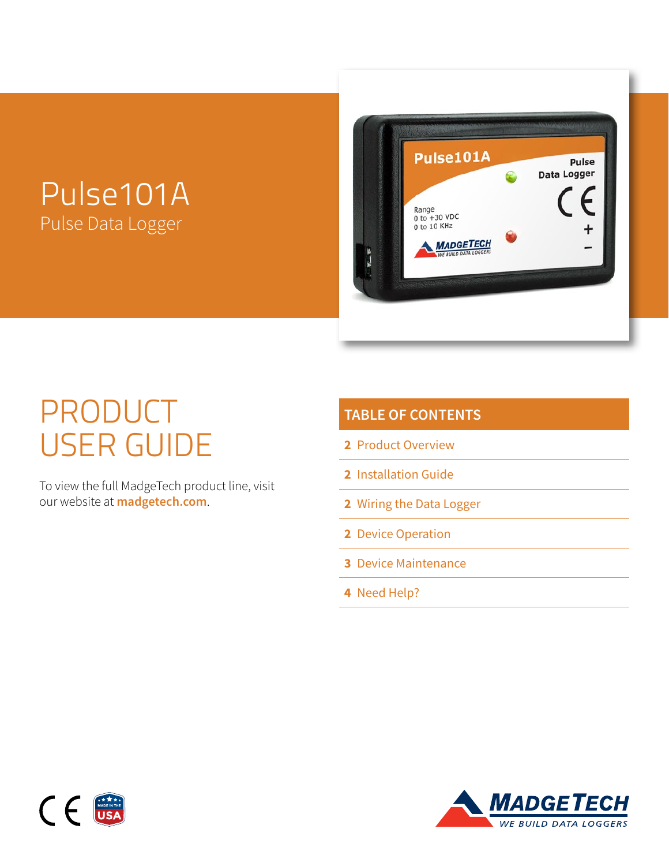## Pulse101A Pulse Data Logger



# PRODUCT USER GUIDE

To view the full MadgeTech product line, visit our website at **[madgetech.com](https://www.madgetech.com)**.

| <b>TABLE OF CONTENTS</b>        |
|---------------------------------|
| 2 Product Overview              |
| <b>2</b> Installation Guide     |
| <b>2</b> Wiring the Data Logger |
| 2 Device Operation              |
| <b>3</b> Device Maintenance     |
|                                 |

**4** [Need Help?](#page-3-0)



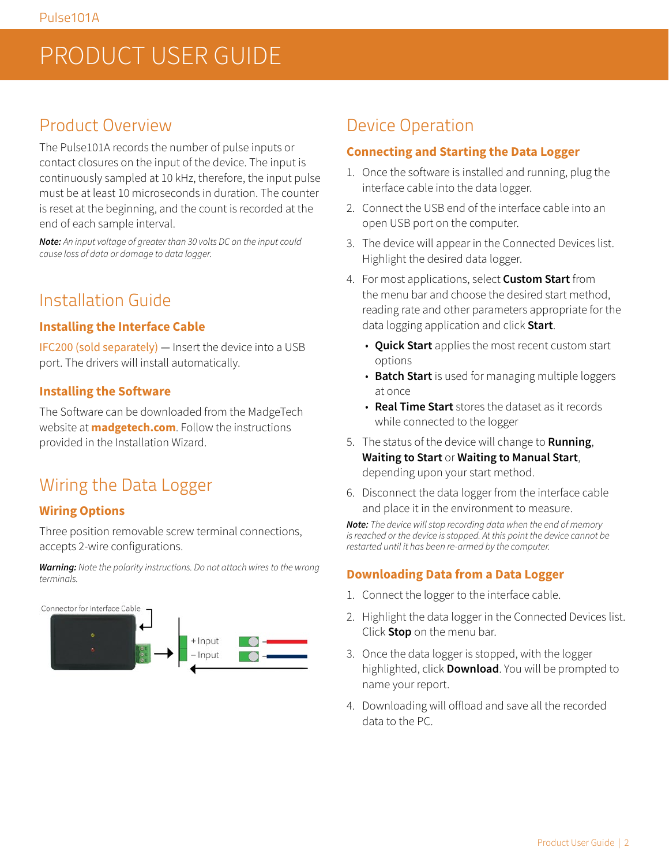## <span id="page-1-0"></span>PRODUCT USER GUIDE

### Product Overview

The Pulse101A records the number of pulse inputs or contact closures on the input of the device. The input is continuously sampled at 10 kHz, therefore, the input pulse must be at least 10 microseconds in duration. The counter is reset at the beginning, and the count is recorded at the end of each sample interval.

*Note: An input voltage of greater than 30 volts DC on the input could cause loss of data or damage to data logger.*

## Installation Guide

#### **Installing the Interface Cable**

IFC200 (sold separately) — Insert the device into a USB port. The drivers will install automatically.

#### **Installing the Software**

The Software can be downloaded from the MadgeTech website at **[madgetech.com](https://www.madgetech.com)**. Follow the instructions provided in the Installation Wizard.

## Wiring the Data Logger

#### **Wiring Options**

Three position removable screw terminal connections, accepts 2-wire configurations.

*Warning: Note the polarity instructions. Do not attach wires to the wrong terminals.*



### Device Operation

#### **Connecting and Starting the Data Logger**

- 1. Once the software is installed and running, plug the interface cable into the data logger.
- 2. Connect the USB end of the interface cable into an open USB port on the computer.
- 3. The device will appear in the Connected Devices list. Highlight the desired data logger.
- 4. For most applications, select **Custom Start** from the menu bar and choose the desired start method, reading rate and other parameters appropriate for the data logging application and click **Start**.
	- **Quick Start** applies the most recent custom start options
	- **Batch Start** is used for managing multiple loggers at once
	- **Real Time Start** stores the dataset as it records while connected to the logger
- 5. The status of the device will change to **Running**, **Waiting to Start** or **Waiting to Manual Start**, depending upon your start method.
- 6. Disconnect the data logger from the interface cable and place it in the environment to measure.

*Note: The device will stop recording data when the end of memory is reached or the device is stopped. At this point the device cannot be restarted until it has been re-armed by the computer.*

#### **Downloading Data from a Data Logger**

- 1. Connect the logger to the interface cable.
- 2. Highlight the data logger in the Connected Devices list. Click **Stop** on the menu bar.
- 3. Once the data logger is stopped, with the logger highlighted, click **Download**. You will be prompted to name your report.
- 4. Downloading will offload and save all the recorded data to the PC.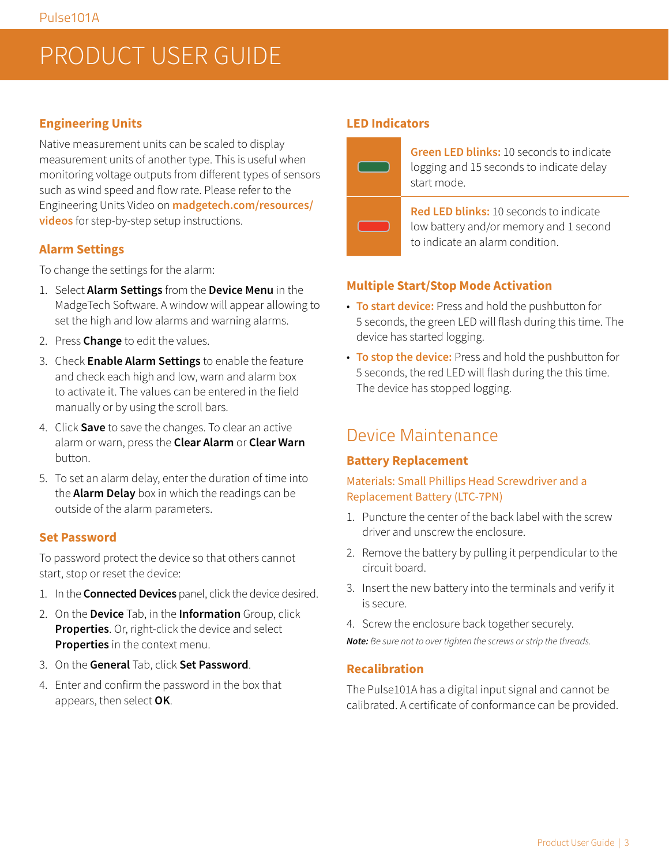## <span id="page-2-0"></span>PRODUCT USER GUIDE

#### **Engineering Units**

Native measurement units can be scaled to display measurement units of another type. This is useful when monitoring voltage outputs from different types of sensors such as wind speed and flow rate. Please refer to the Engineering Units Video on **[madgetech.com/resources/](https://youtu.be/V-AW0uTIKVg) [videos](https://youtu.be/V-AW0uTIKVg)** for step-by-step setup instructions.

#### **Alarm Settings**

To change the settings for the alarm:

- 1. Select **Alarm Settings** from the **Device Menu** in the MadgeTech Software. A window will appear allowing to set the high and low alarms and warning alarms.
- 2. Press **Change** to edit the values.
- 3. Check **Enable Alarm Settings** to enable the feature and check each high and low, warn and alarm box to activate it. The values can be entered in the field manually or by using the scroll bars.
- 4. Click **Save** to save the changes. To clear an active alarm or warn, press the **Clear Alarm** or **Clear Warn** button.
- 5. To set an alarm delay, enter the duration of time into the **Alarm Delay** box in which the readings can be outside of the alarm parameters.

#### **Set Password**

To password protect the device so that others cannot start, stop or reset the device:

- 1. In the **Connected Devices** panel, click the device desired.
- 2. On the **Device** Tab, in the **Information** Group, click **Properties**. Or, right-click the device and select **Properties** in the context menu.
- 3. On the **General** Tab, click **Set Password**.
- 4. Enter and confirm the password in the box that appears, then select **OK**.

#### **LED Indicators**



**Green LED blinks:** 10 seconds to indicate logging and 15 seconds to indicate delay start mode.

**Red LED blinks:** 10 seconds to indicate low battery and/or memory and 1 second to indicate an alarm condition.

#### **Multiple Start/Stop Mode Activation**

- **To start device:** Press and hold the pushbutton for 5 seconds, the green LED will flash during this time. The device has started logging.
- **To stop the device:** Press and hold the pushbutton for 5 seconds, the red LED will flash during the this time. The device has stopped logging.

### Device Maintenance

#### **Battery Replacement**

#### Materials: Small Phillips Head Screwdriver and a Replacement Battery (LTC-7PN)

- 1. Puncture the center of the back label with the screw driver and unscrew the enclosure.
- 2. Remove the battery by pulling it perpendicular to the circuit board.
- 3. Insert the new battery into the terminals and verify it is secure.
- 4. Screw the enclosure back together securely.

*Note: Be sure not to over tighten the screws or strip the threads.*

#### **Recalibration**

The Pulse101A has a digital input signal and cannot be calibrated. A certificate of conformance can be provided.